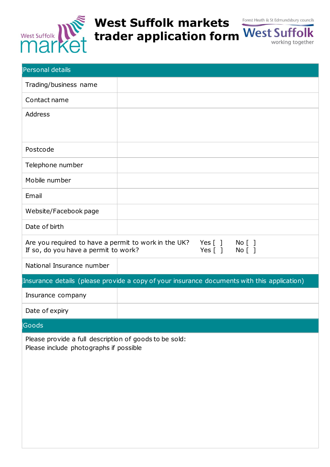

## **West Suffolk markets trader application form**

| <b>Personal details</b>                                                                          |                                         |  |  |
|--------------------------------------------------------------------------------------------------|-----------------------------------------|--|--|
| Trading/business name                                                                            |                                         |  |  |
| Contact name                                                                                     |                                         |  |  |
| Address                                                                                          |                                         |  |  |
| Postcode                                                                                         |                                         |  |  |
| Telephone number                                                                                 |                                         |  |  |
| Mobile number                                                                                    |                                         |  |  |
| Email                                                                                            |                                         |  |  |
| Website/Facebook page                                                                            |                                         |  |  |
| Date of birth                                                                                    |                                         |  |  |
| Are you required to have a permit to work in the UK?<br>If so, do you have a permit to work?     | Yes $[$ $]$<br>No [ ]<br>Yes [ ] No [ ] |  |  |
| National Insurance number                                                                        |                                         |  |  |
| Insurance details (please provide a copy of your insurance documents with this application)      |                                         |  |  |
| Insurance company                                                                                |                                         |  |  |
| Date of expiry                                                                                   |                                         |  |  |
| Goods                                                                                            |                                         |  |  |
| Please provide a full description of goods to be sold:<br>Please include photographs if possible |                                         |  |  |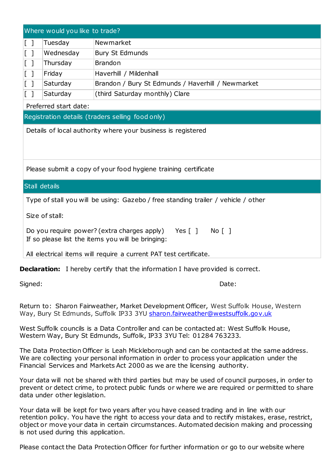| Where would you like to trade?                                                                                                 |                                                                   |                                                   |  |  |
|--------------------------------------------------------------------------------------------------------------------------------|-------------------------------------------------------------------|---------------------------------------------------|--|--|
| $\begin{bmatrix} 1 \end{bmatrix}$                                                                                              | Tuesday                                                           | Newmarket                                         |  |  |
| $\begin{bmatrix} 1 \end{bmatrix}$                                                                                              | Wednesday                                                         | <b>Bury St Edmunds</b>                            |  |  |
| $\lceil$ 1                                                                                                                     | Thursday                                                          | <b>Brandon</b>                                    |  |  |
| $\lceil$ 1                                                                                                                     | Friday                                                            | Haverhill / Mildenhall                            |  |  |
| $\begin{bmatrix} 1 \end{bmatrix}$                                                                                              | Saturday                                                          | Brandon / Bury St Edmunds / Haverhill / Newmarket |  |  |
| $[\ ]$                                                                                                                         | Saturday                                                          | (third Saturday monthly) Clare                    |  |  |
| Preferred start date:                                                                                                          |                                                                   |                                                   |  |  |
| Registration details (traders selling food only)                                                                               |                                                                   |                                                   |  |  |
| Details of local authority where your business is registered<br>Please submit a copy of your food hygiene training certificate |                                                                   |                                                   |  |  |
| <b>Stall details</b>                                                                                                           |                                                                   |                                                   |  |  |
| Type of stall you will be using: Gazebo / free standing trailer / vehicle / other                                              |                                                                   |                                                   |  |  |
| Size of stall:                                                                                                                 |                                                                   |                                                   |  |  |
| Do you require power? (extra charges apply)<br>Yes [ ] No [ ]<br>If so please list the items you will be bringing:             |                                                                   |                                                   |  |  |
|                                                                                                                                | All electrical items will require a current PAT test certificate. |                                                   |  |  |

**Declaration:** I hereby certify that the information I have provided is correct.

Signed: Date:

Return to: Sharon Fairweather, Market Development Officer, West Suffolk House, Western Way, Bury St Edmunds, Suffolk IP33 3YU [sharon.fairweather@westsuffolk.gov.uk](mailto:sharon.fairweather@westsuffolk.gov.uk)

West Suffolk councils is a Data Controller and can be contacted at: West Suffolk House, Western Way, Bury St Edmunds, Suffolk, IP33 3YU Tel: 01284 763233.

The Data Protection Officer is Leah Mickleborough and can be contacted at the same address. We are collecting your personal information in order to process your application under the Financial Services and Markets Act 2000 as we are the licensing authority.

Your data will not be shared with third parties but may be used of council purposes, in order to prevent or detect crime, to protect public funds or where we are required or permitted to share data under other legislation.

Your data will be kept for two years after you have ceased trading and in line with our retention policy. You have the right to access your data and to rectify mistakes, erase, restrict, object or move your data in certain circumstances. Automated decision making and processing is not used during this application.

Please contact the Data Protection Officer for further information or go to our website where